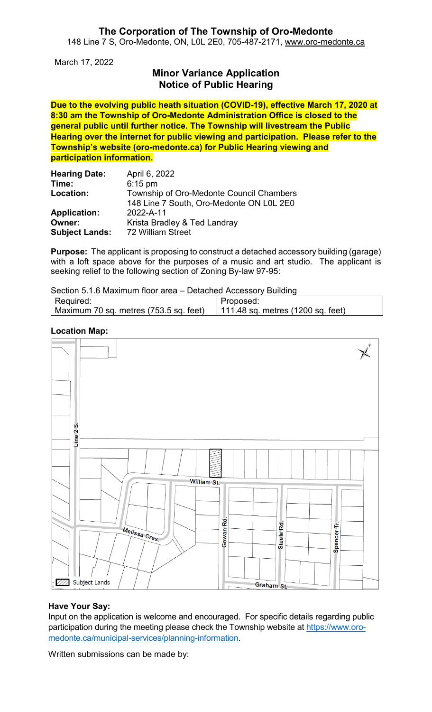#### **The Corporation of The Township of Oro-Medonte** 148 Line 7 S, Oro-Medonte, ON, L0L 2E0, 705-487-2171, [www.oro-medonte.ca](http://www.oro-medonte.ca/)

March 17, 2022

## **Minor Variance Application Notice of Public Hearing**

**Due to the evolving public heath situation (COVID-19), effective March 17, 2020 at 8:30 am the Township of Oro-Medonte Administration Office is closed to the general public until further notice. The Township will livestream the Public Hearing over the internet for public viewing and participation. Please refer to the Township's website (oro-medonte.ca) for Public Hearing viewing and participation information.**

| <b>Hearing Date:</b>  | April 6, 2022                            |
|-----------------------|------------------------------------------|
| Time:                 | $6:15$ pm                                |
| Location:             | Township of Oro-Medonte Council Chambers |
|                       | 148 Line 7 South, Oro-Medonte ON L0L 2E0 |
| <b>Application:</b>   | 2022-A-11                                |
| Owner:                | Krista Bradley & Ted Landray             |
| <b>Subject Lands:</b> | 72 William Street                        |

**Purpose:** The applicant is proposing to construct a detached accessory building (garage) with a loft space above for the purposes of a music and art studio. The applicant is seeking relief to the following section of Zoning By-law 97-95:

| Section 5.1.6 Maximum floor area – Detached Accessory Building |                                             |  |  |
|----------------------------------------------------------------|---------------------------------------------|--|--|
| Required:                                                      | Proposed:                                   |  |  |
| Maximum 70 sq. metres (753.5 sq. feet)                         | 111.48 sq. metres $(1200 \text{ sq. feet})$ |  |  |

#### **Location Map:**



#### **Have Your Say:**

Input on the application is welcome and encouraged. For specific details regarding public participation during the meeting please check the Township website at [https://www.oro](https://www.oro-medonte.ca/municipal-services/planning-information)[medonte.ca/municipal-services/planning-information.](https://www.oro-medonte.ca/municipal-services/planning-information)

Written submissions can be made by: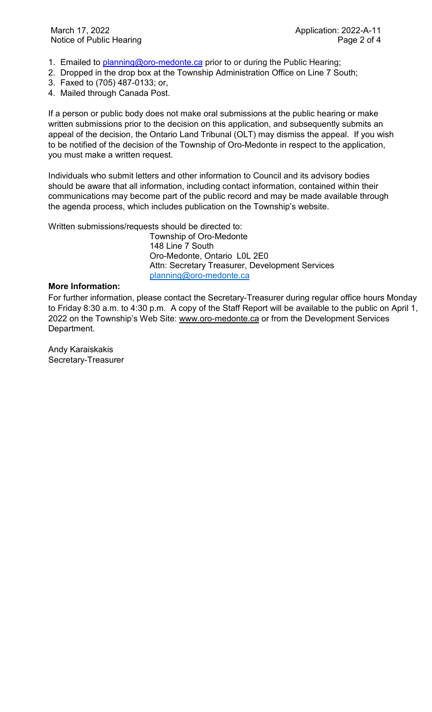- 1. Emailed to [planning@oro-medonte.ca](mailto:planning@oro-medonte.ca) prior to or during the Public Hearing;
- 2. Dropped in the drop box at the Township Administration Office on Line 7 South;
- 3. Faxed to (705) 487-0133; or,
- 4. Mailed through Canada Post.

If a person or public body does not make oral submissions at the public hearing or make written submissions prior to the decision on this application, and subsequently submits an appeal of the decision, the Ontario Land Tribunal (OLT) may dismiss the appeal. If you wish to be notified of the decision of the Township of Oro-Medonte in respect to the application, you must make a written request.

Individuals who submit letters and other information to Council and its advisory bodies should be aware that all information, including contact information, contained within their communications may become part of the public record and may be made available through the agenda process, which includes publication on the Township's website.

Written submissions/requests should be directed to:

Township of Oro-Medonte 148 Line 7 South Oro-Medonte, Ontario L0L 2E0 Attn: Secretary Treasurer, Development Services [planning@oro-medonte.ca](mailto:planning@oro-medonte.ca)

#### **More Information:**

For further information, please contact the Secretary-Treasurer during regular office hours Monday to Friday 8:30 a.m. to 4:30 p.m. A copy of the Staff Report will be available to the public on April 1, 2022 on the Township's Web Site: [www.oro-medonte.ca](http://www.oro-medonte.ca/) or from the Development Services Department.

Andy Karaiskakis Secretary-Treasurer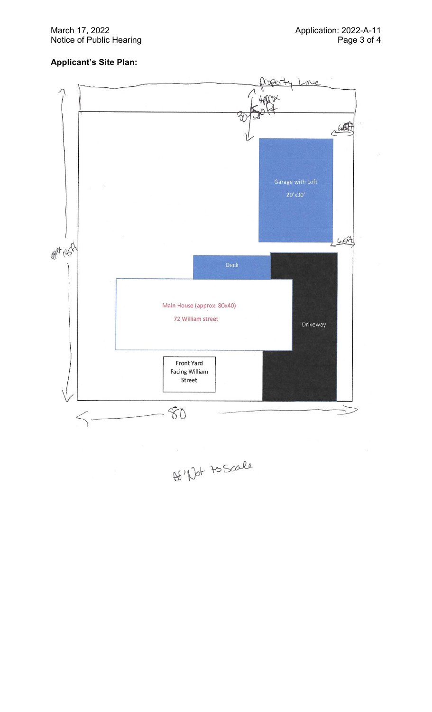March 17, 2022 Notice of Public Hearing

### **Applicant 's Site Plan :**